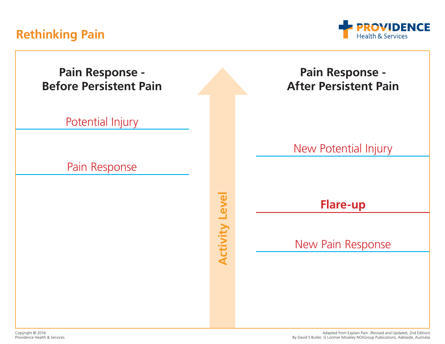## **Rethinking Pain**